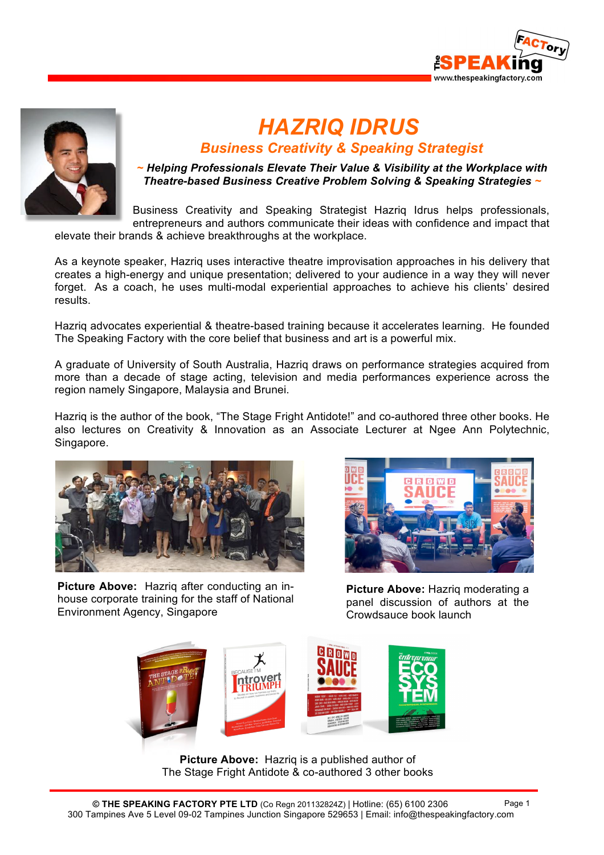



# *HAZRIQ IDRUS*

# *Business Creativity & Speaking Strategist*

*~ Helping Professionals Elevate Their Value & Visibility at the Workplace with Theatre-based Business Creative Problem Solving & Speaking Strategies ~*

Business Creativity and Speaking Strategist Hazriq Idrus helps professionals, entrepreneurs and authors communicate their ideas with confidence and impact that elevate their brands & achieve breakthroughs at the workplace.

As a keynote speaker, Hazriq uses interactive theatre improvisation approaches in his delivery that creates a high-energy and unique presentation; delivered to your audience in a way they will never forget. As a coach, he uses multi-modal experiential approaches to achieve his clients' desired results.

Hazriq advocates experiential & theatre-based training because it accelerates learning. He founded The Speaking Factory with the core belief that business and art is a powerful mix.

A graduate of University of South Australia, Hazriq draws on performance strategies acquired from more than a decade of stage acting, television and media performances experience across the region namely Singapore, Malaysia and Brunei.

Hazriq is the author of the book, "The Stage Fright Antidote!" and co-authored three other books. He also lectures on Creativity & Innovation as an Associate Lecturer at Ngee Ann Polytechnic, Singapore.



**Picture Above:** Hazriq after conducting an inhouse corporate training for the staff of National Environment Agency, Singapore



**Picture Above:** Hazriq moderating a panel discussion of authors at the Crowdsauce book launch



**Picture Above:** Hazriq is a published author of The Stage Fright Antidote & co-authored 3 other books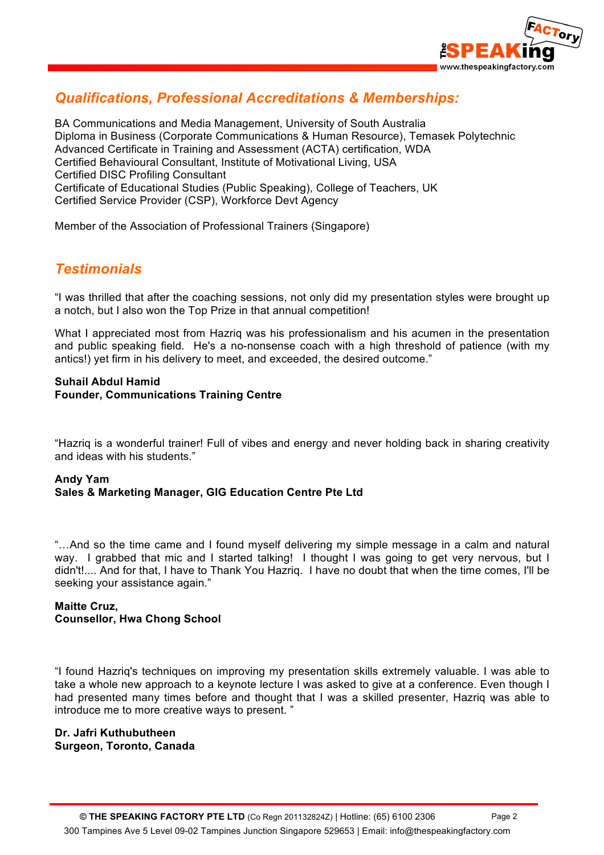

## *Qualifications, Professional Accreditations & Memberships:*

BA Communications and Media Management, University of South Australia Diploma in Business (Corporate Communications & Human Resource), Temasek Polytechnic Advanced Certificate in Training and Assessment (ACTA) certification, WDA Certified Behavioural Consultant, Institute of Motivational Living, USA Certified DISC Profiling Consultant Certificate of Educational Studies (Public Speaking), College of Teachers, UK Certified Service Provider (CSP), Workforce Devt Agency

Member of the Association of Professional Trainers (Singapore)

### *Testimonials*

"I was thrilled that after the coaching sessions, not only did my presentation styles were brought up a notch, but I also won the Top Prize in that annual competition!

What I appreciated most from Hazriq was his professionalism and his acumen in the presentation and public speaking field. He's a no-nonsense coach with a high threshold of patience (with my antics!) yet firm in his delivery to meet, and exceeded, the desired outcome."

#### **Suhail Abdul Hamid Founder, Communications Training Centre**

"Hazriq is a wonderful trainer! Full of vibes and energy and never holding back in sharing creativity and ideas with his students."

#### **Andy Yam Sales & Marketing Manager, GIG Education Centre Pte Ltd**

"...And so the time came and I found myself delivering my simple message in a calm and natural way. I grabbed that mic and I started talking! I thought I was going to get very nervous, but I didn't!.... And for that, I have to Thank You Hazriq. I have no doubt that when the time comes, I'll be seeking your assistance again."

#### **Maitte Cruz, Counsellor, Hwa Chong School**

"I found Hazriq's techniques on improving my presentation skills extremely valuable. I was able to take a whole new approach to a keynote lecture I was asked to give at a conference. Even though I had presented many times before and thought that I was a skilled presenter, Hazriq was able to introduce me to more creative ways to present. "

#### **Dr. Jafri Kuthubutheen Surgeon, Toronto, Canada**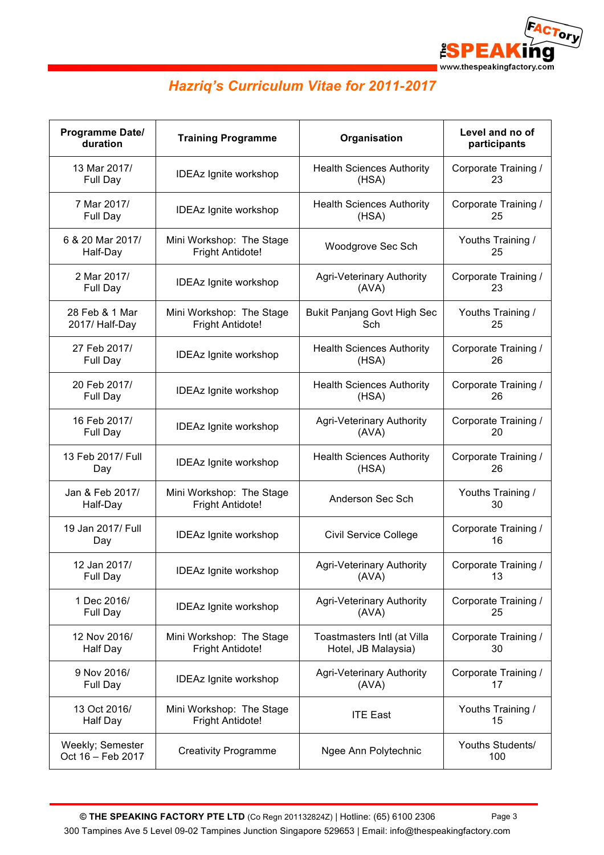

# *Hazriq's Curriculum Vitae for 2011-2017*

| Programme Date/<br>duration           | <b>Training Programme</b>    | Organisation                       | Level and no of<br>participants |
|---------------------------------------|------------------------------|------------------------------------|---------------------------------|
| 13 Mar 2017/                          | <b>IDEAz Ignite workshop</b> | <b>Health Sciences Authority</b>   | Corporate Training /            |
| Full Day                              |                              | (HSA)                              | 23                              |
| 7 Mar 2017/                           | <b>IDEAz Ignite workshop</b> | <b>Health Sciences Authority</b>   | Corporate Training /            |
| Full Day                              |                              | (HSA)                              | 25                              |
| 6 & 20 Mar 2017/                      | Mini Workshop: The Stage     | Woodgrove Sec Sch                  | Youths Training /               |
| Half-Day                              | Fright Antidote!             |                                    | 25                              |
| 2 Mar 2017/                           | <b>IDEAz Ignite workshop</b> | Agri-Veterinary Authority          | Corporate Training /            |
| Full Day                              |                              | (AVA)                              | 23                              |
| 28 Feb & 1 Mar                        | Mini Workshop: The Stage     | <b>Bukit Panjang Govt High Sec</b> | Youths Training /               |
| 2017/ Half-Day                        | <b>Fright Antidote!</b>      | Sch                                | 25                              |
| 27 Feb 2017/                          | <b>IDEAz Ignite workshop</b> | <b>Health Sciences Authority</b>   | Corporate Training /            |
| Full Day                              |                              | (HSA)                              | 26                              |
| 20 Feb 2017/                          | <b>IDEAz Ignite workshop</b> | <b>Health Sciences Authority</b>   | Corporate Training /            |
| Full Day                              |                              | (HSA)                              | 26                              |
| 16 Feb 2017/                          | <b>IDEAz Ignite workshop</b> | Agri-Veterinary Authority          | Corporate Training /            |
| Full Day                              |                              | (AVA)                              | 20                              |
| 13 Feb 2017/ Full                     | <b>IDEAz Ignite workshop</b> | <b>Health Sciences Authority</b>   | Corporate Training /            |
| Day                                   |                              | (HSA)                              | 26                              |
| Jan & Feb 2017/                       | Mini Workshop: The Stage     | Anderson Sec Sch                   | Youths Training /               |
| Half-Day                              | Fright Antidote!             |                                    | 30                              |
| 19 Jan 2017/ Full<br>Day              | <b>IDEAz Ignite workshop</b> | Civil Service College              | Corporate Training /<br>16      |
| 12 Jan 2017/                          | IDEAz Ignite workshop        | <b>Agri-Veterinary Authority</b>   | Corporate Training /            |
| Full Day                              |                              | (AVA)                              | 13                              |
| 1 Dec 2016/                           | <b>IDEAz Ignite workshop</b> | Agri-Veterinary Authority          | Corporate Training /            |
| Full Day                              |                              | (AVA)                              | 25                              |
| 12 Nov 2016/                          | Mini Workshop: The Stage     | Toastmasters Intl (at Villa        | Corporate Training /            |
| Half Day                              | <b>Fright Antidote!</b>      | Hotel, JB Malaysia)                | 30                              |
| 9 Nov 2016/                           | <b>IDEAz Ignite workshop</b> | <b>Agri-Veterinary Authority</b>   | Corporate Training /            |
| Full Day                              |                              | (AVA)                              | 17                              |
| 13 Oct 2016/                          | Mini Workshop: The Stage     | <b>ITE East</b>                    | Youths Training /               |
| Half Day                              | Fright Antidote!             |                                    | 15                              |
| Weekly; Semester<br>Oct 16 - Feb 2017 | <b>Creativity Programme</b>  | Ngee Ann Polytechnic               | Youths Students/<br>100         |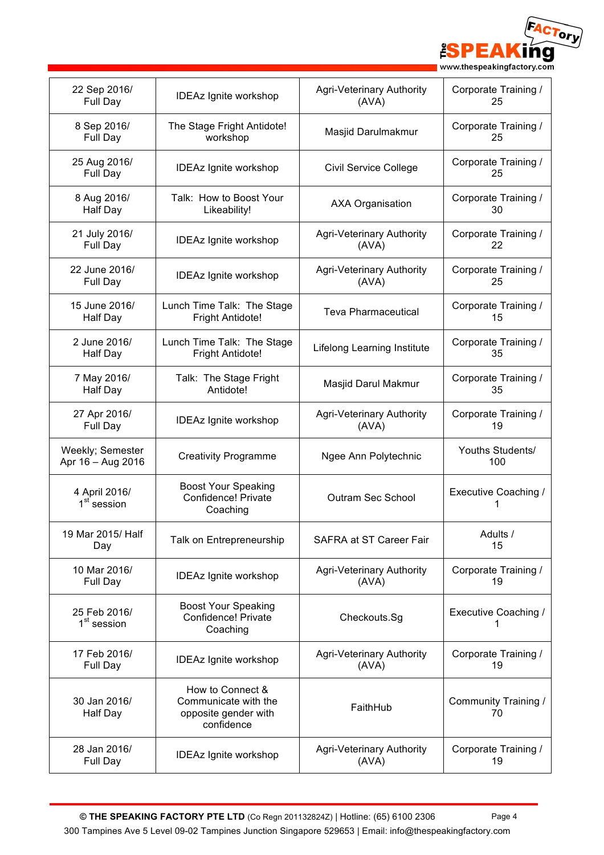ACTory **ESPE** Δ ng www.thespeakingfactory.com

| 22 Sep 2016/                             | <b>IDEAz Ignite workshop</b>                                                   | Agri-Veterinary Authority        | Corporate Training /        |
|------------------------------------------|--------------------------------------------------------------------------------|----------------------------------|-----------------------------|
| Full Day                                 |                                                                                | (AVA)                            | 25                          |
| 8 Sep 2016/                              | The Stage Fright Antidote!                                                     | Masjid Darulmakmur               | Corporate Training /        |
| Full Day                                 | workshop                                                                       |                                  | 25                          |
| 25 Aug 2016/<br>Full Day                 | <b>IDEAz Ignite workshop</b>                                                   | <b>Civil Service College</b>     | Corporate Training /<br>25  |
| 8 Aug 2016/                              | Talk: How to Boost Your                                                        | <b>AXA Organisation</b>          | Corporate Training /        |
| Half Day                                 | Likeability!                                                                   |                                  | 30                          |
| 21 July 2016/                            | <b>IDEAz Ignite workshop</b>                                                   | <b>Agri-Veterinary Authority</b> | Corporate Training /        |
| Full Day                                 |                                                                                | (AVA)                            | 22                          |
| 22 June 2016/                            | <b>IDEAz Ignite workshop</b>                                                   | Agri-Veterinary Authority        | Corporate Training /        |
| Full Day                                 |                                                                                | (AVA)                            | 25                          |
| 15 June 2016/                            | Lunch Time Talk: The Stage                                                     | <b>Teva Pharmaceutical</b>       | Corporate Training /        |
| Half Day                                 | <b>Fright Antidote!</b>                                                        |                                  | 15                          |
| 2 June 2016/                             | Lunch Time Talk: The Stage                                                     | Lifelong Learning Institute      | Corporate Training /        |
| Half Day                                 | Fright Antidote!                                                               |                                  | 35                          |
| 7 May 2016/                              | Talk: The Stage Fright                                                         | Masjid Darul Makmur              | Corporate Training /        |
| <b>Half Day</b>                          | Antidote!                                                                      |                                  | 35                          |
| 27 Apr 2016/                             | <b>IDEAz Ignite workshop</b>                                                   | Agri-Veterinary Authority        | Corporate Training /        |
| Full Day                                 |                                                                                | (AVA)                            | 19                          |
| Weekly; Semester<br>Apr 16 - Aug 2016    | <b>Creativity Programme</b>                                                    | Ngee Ann Polytechnic             | Youths Students/<br>100     |
| 4 April 2016/<br>1 <sup>st</sup> session | <b>Boost Your Speaking</b><br>Confidence! Private<br>Coaching                  | Outram Sec School                | <b>Executive Coaching /</b> |
| 19 Mar 2015/ Half<br>Day                 | Talk on Entrepreneurship                                                       | SAFRA at ST Career Fair          | Adults /<br>15              |
| 10 Mar 2016/                             | <b>IDEAz Ignite workshop</b>                                                   | Agri-Veterinary Authority        | Corporate Training /        |
| Full Day                                 |                                                                                | (AVA)                            | 19                          |
| 25 Feb 2016/<br>1 <sup>st</sup> session  | <b>Boost Your Speaking</b><br>Confidence! Private<br>Coaching                  | Checkouts.Sg                     | Executive Coaching /        |
| 17 Feb 2016/                             | <b>IDEAz Ignite workshop</b>                                                   | <b>Agri-Veterinary Authority</b> | Corporate Training /        |
| Full Day                                 |                                                                                | (AVA)                            | 19                          |
| 30 Jan 2016/<br>Half Day                 | How to Connect &<br>Communicate with the<br>opposite gender with<br>confidence | FaithHub                         | Community Training /<br>70  |
| 28 Jan 2016/                             | <b>IDEAz Ignite workshop</b>                                                   | Agri-Veterinary Authority        | Corporate Training /        |
| Full Day                                 |                                                                                | (AVA)                            | 19                          |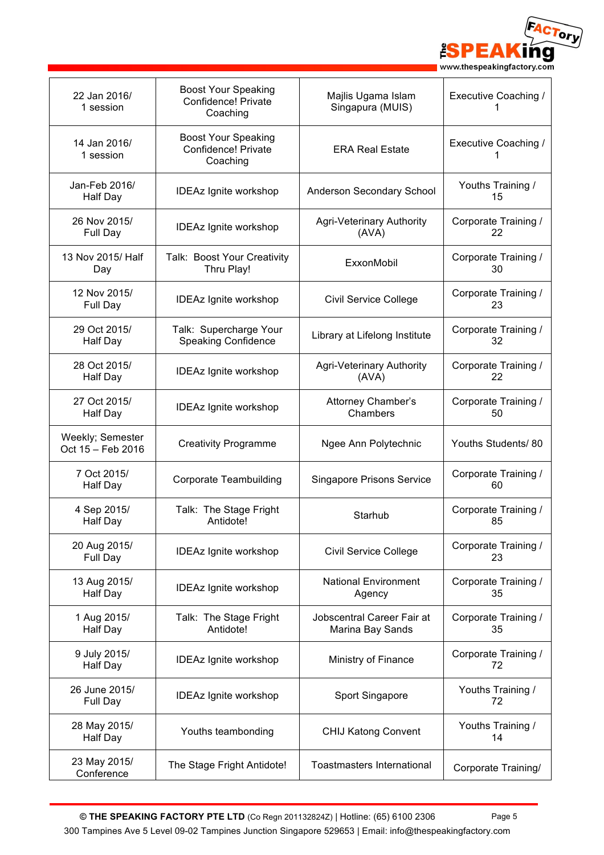

| 22 Jan 2016/<br>1 session             | <b>Boost Your Speaking</b><br>Confidence! Private<br>Coaching | Majlis Ugama Islam<br>Singapura (MUIS)         | Executive Coaching /        |
|---------------------------------------|---------------------------------------------------------------|------------------------------------------------|-----------------------------|
| 14 Jan 2016/<br>1 session             | <b>Boost Your Speaking</b><br>Confidence! Private<br>Coaching | <b>ERA Real Estate</b>                         | <b>Executive Coaching /</b> |
| Jan-Feb 2016/<br><b>Half Day</b>      | <b>IDEAz Ignite workshop</b>                                  | Anderson Secondary School                      | Youths Training /<br>15     |
| 26 Nov 2015/<br>Full Day              | <b>IDEAz Ignite workshop</b>                                  | Agri-Veterinary Authority<br>(AVA)             | Corporate Training /<br>22  |
| 13 Nov 2015/ Half<br>Day              | Talk: Boost Your Creativity<br>Thru Play!                     | ExxonMobil                                     | Corporate Training /<br>30  |
| 12 Nov 2015/<br>Full Day              | <b>IDEAz Ignite workshop</b>                                  | <b>Civil Service College</b>                   | Corporate Training /<br>23  |
| 29 Oct 2015/<br><b>Half Day</b>       | Talk: Supercharge Your<br><b>Speaking Confidence</b>          | Library at Lifelong Institute                  | Corporate Training /<br>32  |
| 28 Oct 2015/<br><b>Half Day</b>       | <b>IDEAz Ignite workshop</b>                                  | Agri-Veterinary Authority<br>(AVA)             | Corporate Training /<br>22  |
| 27 Oct 2015/<br>Half Day              | <b>IDEAz Ignite workshop</b>                                  | Attorney Chamber's<br>Chambers                 | Corporate Training /<br>50  |
| Weekly; Semester<br>Oct 15 - Feb 2016 | <b>Creativity Programme</b>                                   | Ngee Ann Polytechnic                           | Youths Students/80          |
| 7 Oct 2015/<br>Half Day               | <b>Corporate Teambuilding</b>                                 | <b>Singapore Prisons Service</b>               | Corporate Training /<br>60  |
| 4 Sep 2015/<br><b>Half Day</b>        | Talk: The Stage Fright<br>Antidote!                           | Starhub                                        | Corporate Training /<br>85  |
| 20 Aug 2015/<br>Full Day              | <b>IDEAz Ignite workshop</b>                                  | <b>Civil Service College</b>                   | Corporate Training /<br>23  |
| 13 Aug 2015/<br>Half Day              | <b>IDEAz Ignite workshop</b>                                  | <b>National Environment</b><br>Agency          | Corporate Training /<br>35  |
| 1 Aug 2015/<br><b>Half Day</b>        | Talk: The Stage Fright<br>Antidote!                           | Jobscentral Career Fair at<br>Marina Bay Sands | Corporate Training /<br>35  |
| 9 July 2015/<br><b>Half Day</b>       | <b>IDEAz Ignite workshop</b>                                  | Ministry of Finance                            | Corporate Training /<br>72  |
| 26 June 2015/<br>Full Day             | <b>IDEAz Ignite workshop</b>                                  | Sport Singapore                                | Youths Training /<br>72     |
| 28 May 2015/<br><b>Half Day</b>       | Youths teambonding                                            | <b>CHIJ Katong Convent</b>                     | Youths Training /<br>14     |
| 23 May 2015/<br>Conference            | The Stage Fright Antidote!                                    | <b>Toastmasters International</b>              | Corporate Training/         |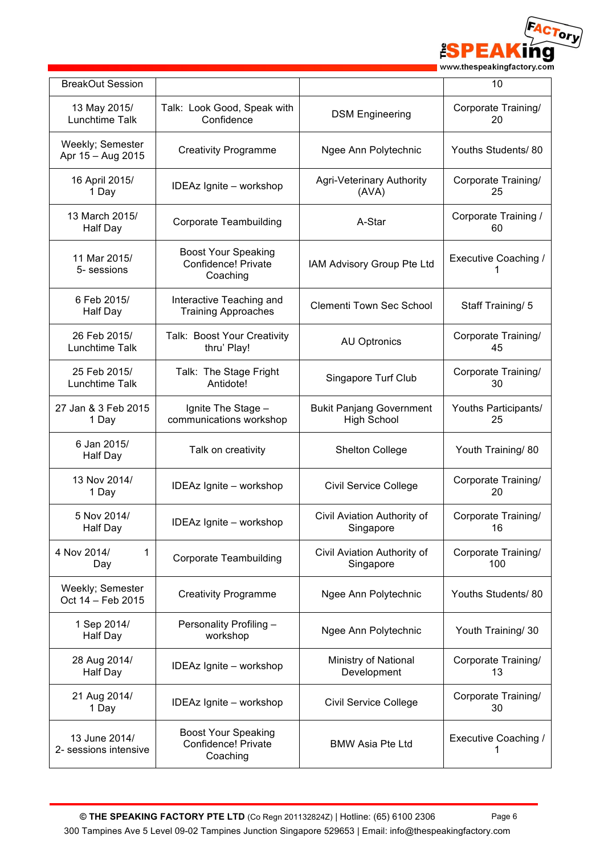

| <b>BreakOut Session</b>                |                                                               |                                                       | 10                         |
|----------------------------------------|---------------------------------------------------------------|-------------------------------------------------------|----------------------------|
| 13 May 2015/<br>Lunchtime Talk         | Talk: Look Good, Speak with<br>Confidence                     | <b>DSM Engineering</b>                                | Corporate Training/<br>20  |
| Weekly; Semester<br>Apr 15 - Aug 2015  | <b>Creativity Programme</b>                                   | Ngee Ann Polytechnic                                  | Youths Students/80         |
| 16 April 2015/<br>1 Day                | IDEAz Ignite - workshop                                       | <b>Agri-Veterinary Authority</b><br>(AVA)             | Corporate Training/<br>25  |
| 13 March 2015/<br>Half Day             | <b>Corporate Teambuilding</b>                                 | A-Star                                                | Corporate Training /<br>60 |
| 11 Mar 2015/<br>5- sessions            | <b>Boost Your Speaking</b><br>Confidence! Private<br>Coaching | IAM Advisory Group Pte Ltd                            | Executive Coaching /       |
| 6 Feb 2015/<br>Half Day                | Interactive Teaching and<br><b>Training Approaches</b>        | <b>Clementi Town Sec School</b>                       | Staff Training/ 5          |
| 26 Feb 2015/<br>Lunchtime Talk         | Talk: Boost Your Creativity<br>thru' Play!                    | <b>AU Optronics</b>                                   | Corporate Training/<br>45  |
| 25 Feb 2015/<br>Lunchtime Talk         | Talk: The Stage Fright<br>Antidote!                           | Singapore Turf Club                                   | Corporate Training/<br>30  |
| 27 Jan & 3 Feb 2015<br>1 Day           | Ignite The Stage -<br>communications workshop                 | <b>Bukit Panjang Government</b><br><b>High School</b> | Youths Participants/<br>25 |
| 6 Jan 2015/<br>Half Day                | Talk on creativity                                            | <b>Shelton College</b>                                | Youth Training/ 80         |
| 13 Nov 2014/<br>1 Day                  | IDEAz Ignite - workshop                                       | <b>Civil Service College</b>                          | Corporate Training/<br>20  |
| 5 Nov 2014/<br><b>Half Day</b>         | IDEAz Ignite - workshop                                       | Civil Aviation Authority of<br>Singapore              | Corporate Training/<br>16  |
| 4 Nov 2014/<br>1<br>Day                | <b>Corporate Teambuilding</b>                                 | Civil Aviation Authority of<br>Singapore              | Corporate Training/<br>100 |
| Weekly; Semester<br>Oct 14 - Feb 2015  | <b>Creativity Programme</b>                                   | Ngee Ann Polytechnic                                  | Youths Students/ 80        |
| 1 Sep 2014/<br>Half Day                | Personality Profiling -<br>workshop                           | Ngee Ann Polytechnic                                  | Youth Training/ 30         |
| 28 Aug 2014/<br>Half Day               | IDEAz Ignite - workshop                                       | Ministry of National<br>Development                   | Corporate Training/<br>13  |
| 21 Aug 2014/<br>1 Day                  | IDEAz Ignite - workshop                                       | <b>Civil Service College</b>                          | Corporate Training/<br>30  |
| 13 June 2014/<br>2- sessions intensive | <b>Boost Your Speaking</b><br>Confidence! Private<br>Coaching | <b>BMW Asia Pte Ltd</b>                               | Executive Coaching /<br>1  |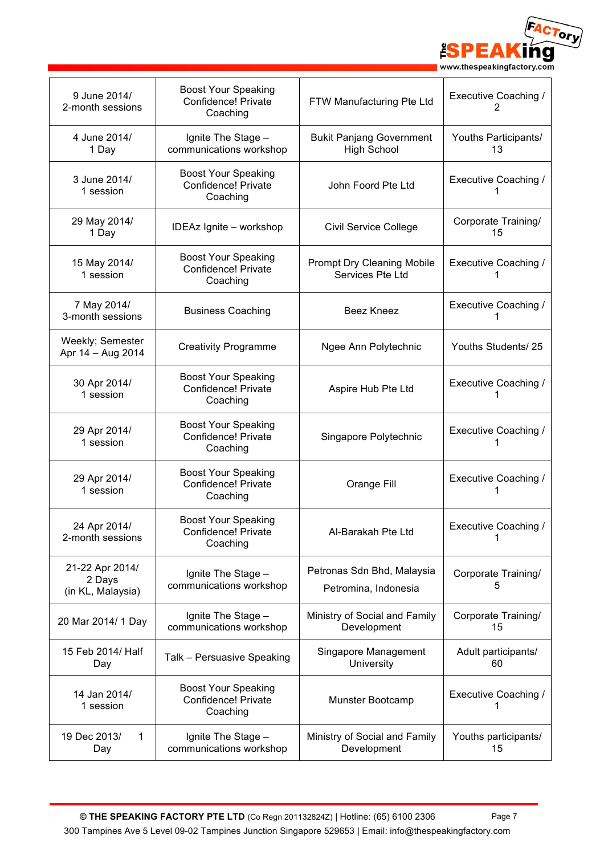

| 9 June 2014/<br>2-month sessions               | <b>Boost Your Speaking</b><br>Confidence! Private<br>Coaching | FTW Manufacturing Pte Ltd                             | Executive Coaching /<br>2        |
|------------------------------------------------|---------------------------------------------------------------|-------------------------------------------------------|----------------------------------|
| 4 June 2014/<br>1 Day                          | Ignite The Stage -<br>communications workshop                 | <b>Bukit Panjang Government</b><br><b>High School</b> | Youths Participants/<br>13       |
| 3 June 2014/<br>1 session                      | <b>Boost Your Speaking</b><br>Confidence! Private<br>Coaching | John Foord Pte Ltd                                    | Executive Coaching /             |
| 29 May 2014/<br>1 Day                          | IDEAz Ignite - workshop                                       | <b>Civil Service College</b>                          | Corporate Training/<br>15        |
| 15 May 2014/<br>1 session                      | <b>Boost Your Speaking</b><br>Confidence! Private<br>Coaching | <b>Prompt Dry Cleaning Mobile</b><br>Services Pte Ltd | Executive Coaching /             |
| 7 May 2014/<br>3-month sessions                | <b>Business Coaching</b>                                      | <b>Beez Kneez</b>                                     | Executive Coaching /             |
| Weekly; Semester<br>Apr 14 - Aug 2014          | <b>Creativity Programme</b>                                   | Ngee Ann Polytechnic                                  | Youths Students/25               |
| 30 Apr 2014/<br>1 session                      | <b>Boost Your Speaking</b><br>Confidence! Private<br>Coaching | Aspire Hub Pte Ltd                                    | <b>Executive Coaching /</b>      |
| 29 Apr 2014/<br>1 session                      | <b>Boost Your Speaking</b><br>Confidence! Private<br>Coaching | Singapore Polytechnic                                 | <b>Executive Coaching /</b>      |
| 29 Apr 2014/<br>1 session                      | <b>Boost Your Speaking</b><br>Confidence! Private<br>Coaching | Orange Fill                                           | <b>Executive Coaching /</b><br>1 |
| 24 Apr 2014/<br>2-month sessions               | <b>Boost Your Speaking</b><br>Confidence! Private<br>Coaching | Al-Barakah Pte Ltd                                    | <b>Executive Coaching /</b><br>1 |
| 21-22 Apr 2014/<br>2 Days<br>(in KL, Malaysia) | Ignite The Stage -<br>communications workshop                 | Petronas Sdn Bhd, Malaysia<br>Petromina, Indonesia    | Corporate Training/<br>5         |
| 20 Mar 2014/ 1 Day                             | Ignite The Stage -<br>communications workshop                 | Ministry of Social and Family<br>Development          | Corporate Training/<br>15        |
| 15 Feb 2014/ Half<br>Day                       | Talk - Persuasive Speaking                                    | Singapore Management<br>University                    | Adult participants/<br>60        |
| 14 Jan 2014/<br>1 session                      | <b>Boost Your Speaking</b><br>Confidence! Private<br>Coaching | Munster Bootcamp                                      | Executive Coaching /             |
| 19 Dec 2013/<br>$\mathbf{1}$<br>Day            | Ignite The Stage -<br>communications workshop                 | Ministry of Social and Family<br>Development          | Youths participants/<br>15       |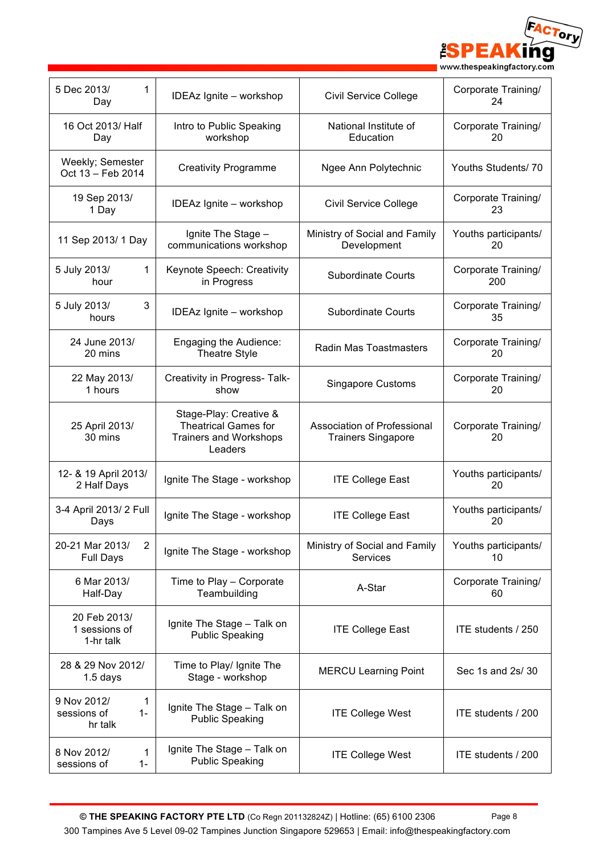ACTory **ESPE** Δ ng www.thespeakingfactory.com

| 5 Dec 2013/<br>1<br>Day                                        | IDEAz Ignite - workshop                                                                           | <b>Civil Service College</b>                             | Corporate Training/<br>24  |
|----------------------------------------------------------------|---------------------------------------------------------------------------------------------------|----------------------------------------------------------|----------------------------|
| 16 Oct 2013/ Half<br>Day                                       | Intro to Public Speaking<br>workshop                                                              | National Institute of<br>Education                       | Corporate Training/<br>20  |
| Weekly; Semester<br>Oct 13 - Feb 2014                          | <b>Creativity Programme</b>                                                                       | Ngee Ann Polytechnic                                     | Youths Students/70         |
| 19 Sep 2013/<br>1 Day                                          | IDEAz Ignite - workshop                                                                           | Civil Service College                                    | Corporate Training/<br>23  |
| 11 Sep 2013/ 1 Day                                             | Ignite The Stage -<br>communications workshop                                                     | Ministry of Social and Family<br>Development             | Youths participants/<br>20 |
| 5 July 2013/<br>1<br>hour                                      | Keynote Speech: Creativity<br>in Progress                                                         | <b>Subordinate Courts</b>                                | Corporate Training/<br>200 |
| 5 July 2013/<br>3<br>hours                                     | IDEAz Ignite - workshop                                                                           | <b>Subordinate Courts</b>                                | Corporate Training/<br>35  |
| 24 June 2013/<br>20 mins                                       | Engaging the Audience:<br><b>Theatre Style</b>                                                    | Radin Mas Toastmasters                                   | Corporate Training/<br>20  |
| 22 May 2013/<br>1 hours                                        | Creativity in Progress- Talk-<br>show                                                             | <b>Singapore Customs</b>                                 | Corporate Training/<br>20  |
| 25 April 2013/<br>30 mins                                      | Stage-Play: Creative &<br><b>Theatrical Games for</b><br><b>Trainers and Workshops</b><br>Leaders | Association of Professional<br><b>Trainers Singapore</b> | Corporate Training/<br>20  |
| 12- & 19 April 2013/<br>2 Half Days                            | Ignite The Stage - workshop                                                                       | <b>ITE College East</b>                                  | Youths participants/<br>20 |
| 3-4 April 2013/2 Full<br>Days                                  | Ignite The Stage - workshop                                                                       | <b>ITE College East</b>                                  | Youths participants/<br>20 |
| 20-21 Mar 2013/<br>$\overline{2}$<br><b>Full Days</b>          | Ignite The Stage - workshop                                                                       | Ministry of Social and Family<br>Services                | Youths participants/<br>10 |
| 6 Mar 2013/<br>Half-Day                                        | Time to Play - Corporate<br>Teambuilding                                                          | A-Star                                                   | Corporate Training/<br>60  |
| 20 Feb 2013/<br>1 sessions of<br>1-hr talk                     | Ignite The Stage - Talk on<br><b>Public Speaking</b>                                              | <b>ITE College East</b>                                  | ITE students / 250         |
| 28 & 29 Nov 2012/<br>$1.5$ days                                | Time to Play/ Ignite The<br>Stage - workshop                                                      | <b>MERCU Learning Point</b>                              | Sec 1s and 2s/ 30          |
| 9 Nov 2012/<br>$\mathbf{1}$<br>$1 -$<br>sessions of<br>hr talk | Ignite The Stage - Talk on<br><b>Public Speaking</b>                                              | <b>ITE College West</b>                                  | ITE students / 200         |
| 8 Nov 2012/<br>1<br>sessions of<br>$1 -$                       | Ignite The Stage - Talk on<br><b>Public Speaking</b>                                              | <b>ITE College West</b>                                  | ITE students / 200         |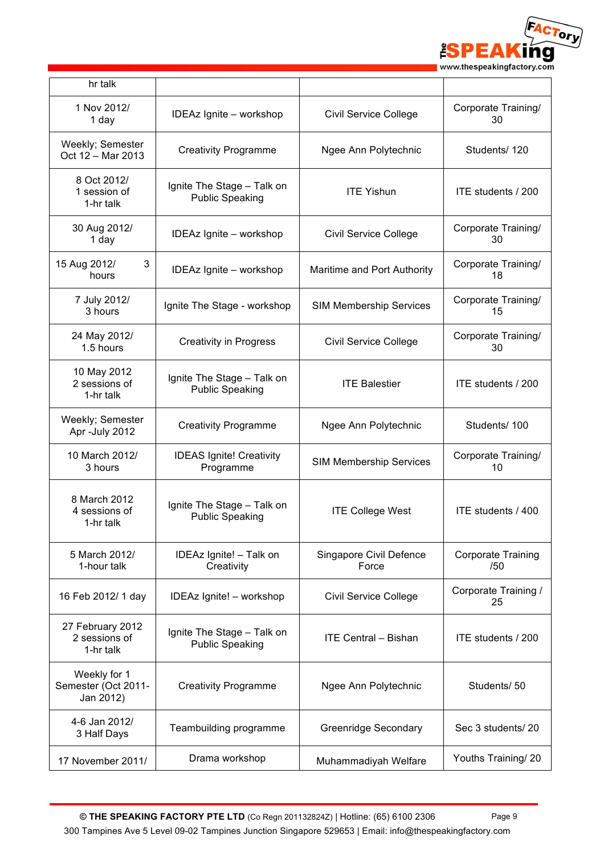

| hr talk                                          |                                                      |                                  |                                  |
|--------------------------------------------------|------------------------------------------------------|----------------------------------|----------------------------------|
| 1 Nov 2012/<br>1 day                             | IDEAz Ignite - workshop                              | Civil Service College            | Corporate Training/<br>30        |
| Weekly; Semester<br>Oct 12 - Mar 2013            | <b>Creativity Programme</b>                          | Ngee Ann Polytechnic             | Students/120                     |
| 8 Oct 2012/<br>1 session of<br>1-hr talk         | Ignite The Stage - Talk on<br><b>Public Speaking</b> | <b>ITE Yishun</b>                | ITE students / 200               |
| 30 Aug 2012/<br>1 day                            | IDEAz Ignite - workshop                              | Civil Service College            | Corporate Training/<br>30        |
| 15 Aug 2012/<br>3<br>hours                       | IDEAz Ignite - workshop                              | Maritime and Port Authority      | Corporate Training/<br>18        |
| 7 July 2012/<br>3 hours                          | Ignite The Stage - workshop                          | <b>SIM Membership Services</b>   | Corporate Training/<br>15        |
| 24 May 2012/<br>1.5 hours                        | <b>Creativity in Progress</b>                        | <b>Civil Service College</b>     | Corporate Training/<br>30        |
| 10 May 2012<br>2 sessions of<br>1-hr talk        | Ignite The Stage - Talk on<br><b>Public Speaking</b> | <b>ITE Balestier</b>             | ITE students / 200               |
| Weekly; Semester<br>Apr -July 2012               | <b>Creativity Programme</b>                          | Ngee Ann Polytechnic             | Students/100                     |
| 10 March 2012/<br>3 hours                        | <b>IDEAS Ignite! Creativity</b><br>Programme         | <b>SIM Membership Services</b>   | Corporate Training/<br>10        |
| 8 March 2012<br>4 sessions of<br>1-hr talk       | Ignite The Stage - Talk on<br><b>Public Speaking</b> | <b>ITE College West</b>          | ITE students / 400               |
| 5 March 2012/<br>1-hour talk                     | IDEAz Ignite! - Talk on<br>Creativity                | Singapore Civil Defence<br>Force | <b>Corporate Training</b><br>/50 |
| 16 Feb 2012/ 1 day                               | IDEAz Ignite! - workshop                             | <b>Civil Service College</b>     | Corporate Training /<br>25       |
| 27 February 2012<br>2 sessions of<br>1-hr talk   | Ignite The Stage - Talk on<br><b>Public Speaking</b> | <b>ITE Central - Bishan</b>      | ITE students / 200               |
| Weekly for 1<br>Semester (Oct 2011-<br>Jan 2012) | <b>Creativity Programme</b>                          | Ngee Ann Polytechnic             | Students/50                      |
| 4-6 Jan 2012/<br>3 Half Days                     | Teambuilding programme                               | Greenridge Secondary             | Sec 3 students/20                |
| 17 November 2011/                                | Drama workshop                                       | Muhammadiyah Welfare             | Youths Training/ 20              |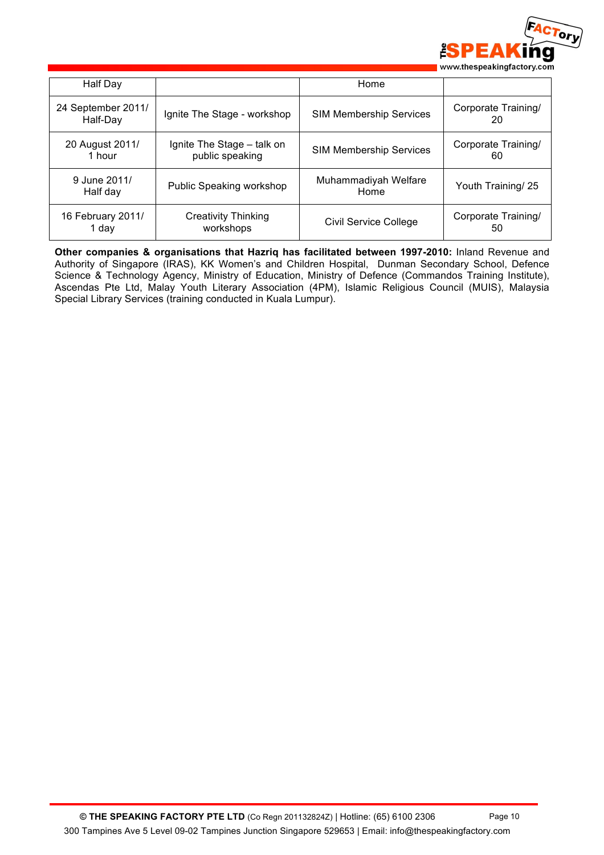

| Half Day                       |                                               | Home                           |                           |
|--------------------------------|-----------------------------------------------|--------------------------------|---------------------------|
| 24 September 2011/<br>Half-Day | Ignite The Stage - workshop                   | <b>SIM Membership Services</b> | Corporate Training/<br>20 |
| 20 August 2011/<br>1 hour      | Ignite The Stage - talk on<br>public speaking | <b>SIM Membership Services</b> | Corporate Training/<br>60 |
| 9 June 2011/<br>Half day       | Public Speaking workshop                      | Muhammadiyah Welfare<br>Home   | Youth Training/ 25        |
| 16 February 2011/<br>1 dav     | <b>Creativity Thinking</b><br>workshops       | <b>Civil Service College</b>   | Corporate Training/<br>50 |

**Other companies & organisations that Hazriq has facilitated between 1997-2010:** Inland Revenue and Authority of Singapore (IRAS), KK Women's and Children Hospital, Dunman Secondary School, Defence Science & Technology Agency, Ministry of Education, Ministry of Defence (Commandos Training Institute), Ascendas Pte Ltd, Malay Youth Literary Association (4PM), Islamic Religious Council (MUIS), Malaysia Special Library Services (training conducted in Kuala Lumpur).